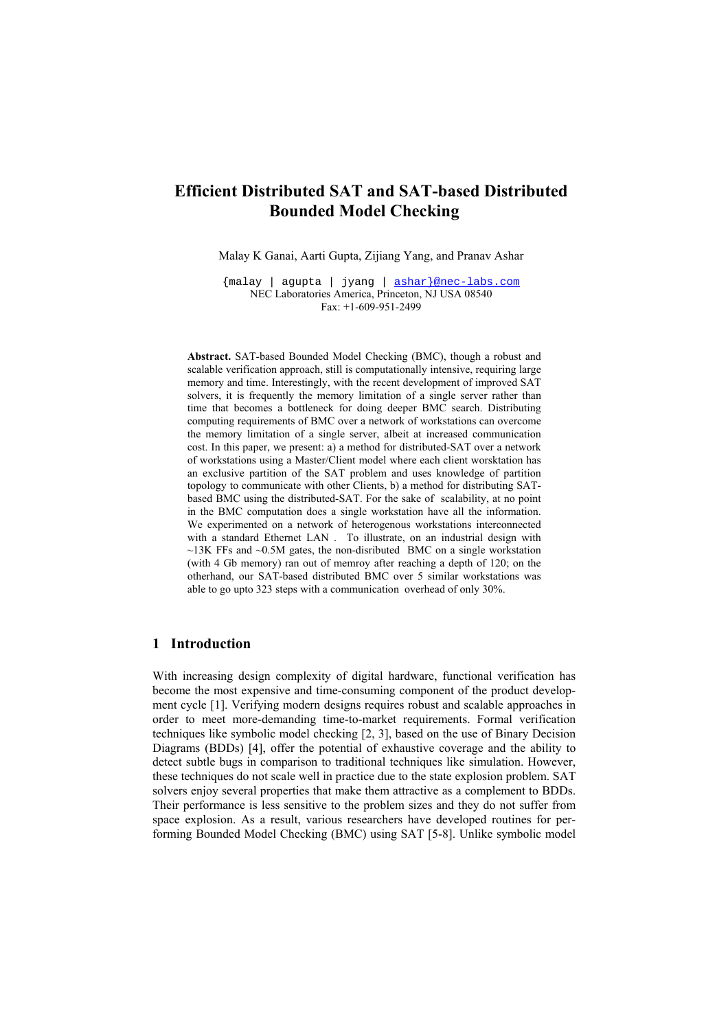# **Efficient Distributed SAT and SAT-based Distributed Bounded Model Checking**

Malay K Ganai, Aarti Gupta, Zijiang Yang, and Pranav Ashar

{malay | agupta | jyang | [ashar}@nec-labs.com](mailto:ashar}@nec-labs.com) NEC Laboratories America, Princeton, NJ USA 08540 Fax: +1-609-951-2499

**Abstract.** SAT-based Bounded Model Checking (BMC), though a robust and scalable verification approach, still is computationally intensive, requiring large memory and time. Interestingly, with the recent development of improved SAT solvers, it is frequently the memory limitation of a single server rather than time that becomes a bottleneck for doing deeper BMC search. Distributing computing requirements of BMC over a network of workstations can overcome the memory limitation of a single server, albeit at increased communication cost. In this paper, we present: a) a method for distributed-SAT over a network of workstations using a Master/Client model where each client worsktation has an exclusive partition of the SAT problem and uses knowledge of partition topology to communicate with other Clients, b) a method for distributing SATbased BMC using the distributed-SAT. For the sake of scalability, at no point in the BMC computation does a single workstation have all the information. We experimented on a network of heterogenous workstations interconnected with a standard Ethernet LAN . To illustrate, on an industrial design with  $\sim$ 13K FFs and  $\sim$ 0.5M gates, the non-disributed BMC on a single workstation (with 4 Gb memory) ran out of memroy after reaching a depth of 120; on the otherhand, our SAT-based distributed BMC over 5 similar workstations was able to go upto 323 steps with a communication overhead of only 30%.

## **1 Introduction**

With increasing design complexity of digital hardware, functional verification has become the most expensive and time-consuming component of the product development cycle [1]. Verifying modern designs requires robust and scalable approaches in order to meet more-demanding time-to-market requirements. Formal verification techniques like symbolic model checking [2, 3], based on the use of Binary Decision Diagrams (BDDs) [4], offer the potential of exhaustive coverage and the ability to detect subtle bugs in comparison to traditional techniques like simulation. However, these techniques do not scale well in practice due to the state explosion problem. SAT solvers enjoy several properties that make them attractive as a complement to BDDs. Their performance is less sensitive to the problem sizes and they do not suffer from space explosion. As a result, various researchers have developed routines for performing Bounded Model Checking (BMC) using SAT [5-8]. Unlike symbolic model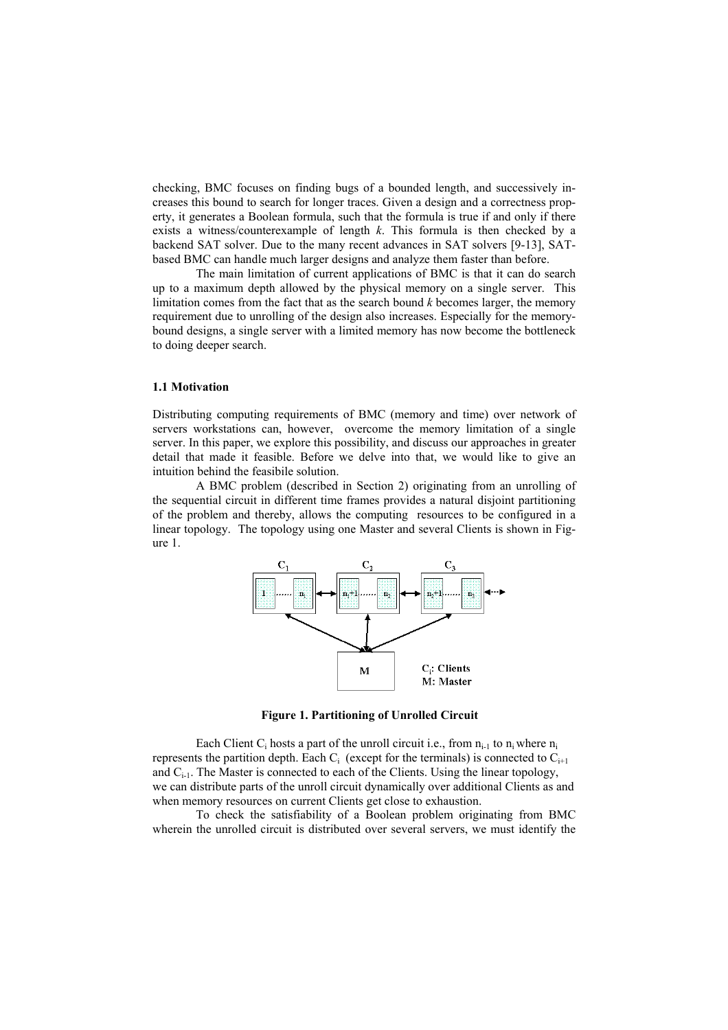checking, BMC focuses on finding bugs of a bounded length, and successively increases this bound to search for longer traces. Given a design and a correctness property, it generates a Boolean formula, such that the formula is true if and only if there exists a witness/counterexample of length *k*. This formula is then checked by a backend SAT solver. Due to the many recent advances in SAT solvers [9-13], SATbased BMC can handle much larger designs and analyze them faster than before.

The main limitation of current applications of BMC is that it can do search up to a maximum depth allowed by the physical memory on a single server. This limitation comes from the fact that as the search bound *k* becomes larger, the memory requirement due to unrolling of the design also increases. Especially for the memorybound designs, a single server with a limited memory has now become the bottleneck to doing deeper search.

#### **1.1 Motivation**

Distributing computing requirements of BMC (memory and time) over network of servers workstations can, however, overcome the memory limitation of a single server. In this paper, we explore this possibility, and discuss our approaches in greater detail that made it feasible. Before we delve into that, we would like to give an intuition behind the feasibile solution.

A BMC problem (described in Section 2) originating from an unrolling of the sequential circuit in different time frames provides a natural disjoint partitioning of the problem and thereby, allows the computing resources to be configured in a linear topology. The topology using one Master and several Clients is shown in Figure 1.



**Figure 1. Partitioning of Unrolled Circuit** 

Each Client C<sub>i</sub> hosts a part of the unroll circuit i.e., from  $n_{i-1}$  to  $n_i$  where  $n_i$ represents the partition depth. Each  $C_i$  (except for the terminals) is connected to  $C_{i+1}$ and  $C_{i-1}$ . The Master is connected to each of the Clients. Using the linear topology, we can distribute parts of the unroll circuit dynamically over additional Clients as and when memory resources on current Clients get close to exhaustion.

To check the satisfiability of a Boolean problem originating from BMC wherein the unrolled circuit is distributed over several servers, we must identify the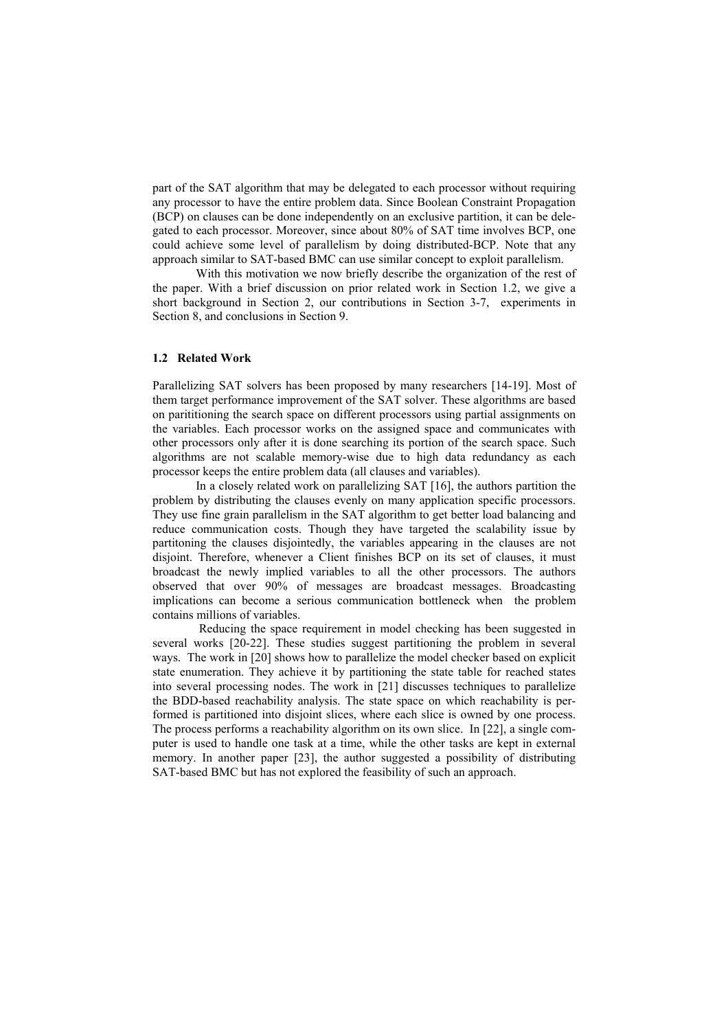part of the SAT algorithm that may be delegated to each processor without requiring any processor to have the entire problem data. Since Boolean Constraint Propagation (BCP) on clauses can be done independently on an exclusive partition, it can be delegated to each processor. Moreover, since about 80% of SAT time involves BCP, one could achieve some level of parallelism by doing distributed-BCP. Note that any approach similar to SAT-based BMC can use similar concept to exploit parallelism.

With this motivation we now briefly describe the organization of the rest of the paper. With a brief discussion on prior related work in Section 1.2, we give a short background in Section 2, our contributions in Section 3-7, experiments in Section 8, and conclusions in Section 9.

### **1.2 Related Work**

Parallelizing SAT solvers has been proposed by many researchers [14-19]. Most of them target performance improvement of the SAT solver. These algorithms are based on parititioning the search space on different processors using partial assignments on the variables. Each processor works on the assigned space and communicates with other processors only after it is done searching its portion of the search space. Such algorithms are not scalable memory-wise due to high data redundancy as each processor keeps the entire problem data (all clauses and variables).

In a closely related work on parallelizing SAT [16], the authors partition the problem by distributing the clauses evenly on many application specific processors. They use fine grain parallelism in the SAT algorithm to get better load balancing and reduce communication costs. Though they have targeted the scalability issue by partitoning the clauses disjointedly, the variables appearing in the clauses are not disjoint. Therefore, whenever a Client finishes BCP on its set of clauses, it must broadcast the newly implied variables to all the other processors. The authors observed that over 90% of messages are broadcast messages. Broadcasting implications can become a serious communication bottleneck when the problem contains millions of variables.

 Reducing the space requirement in model checking has been suggested in several works [20-22]. These studies suggest partitioning the problem in several ways. The work in [20] shows how to parallelize the model checker based on explicit state enumeration. They achieve it by partitioning the state table for reached states into several processing nodes. The work in [21] discusses techniques to parallelize the BDD-based reachability analysis. The state space on which reachability is performed is partitioned into disjoint slices, where each slice is owned by one process. The process performs a reachability algorithm on its own slice. In [22], a single computer is used to handle one task at a time, while the other tasks are kept in external memory. In another paper [23], the author suggested a possibility of distributing SAT-based BMC but has not explored the feasibility of such an approach.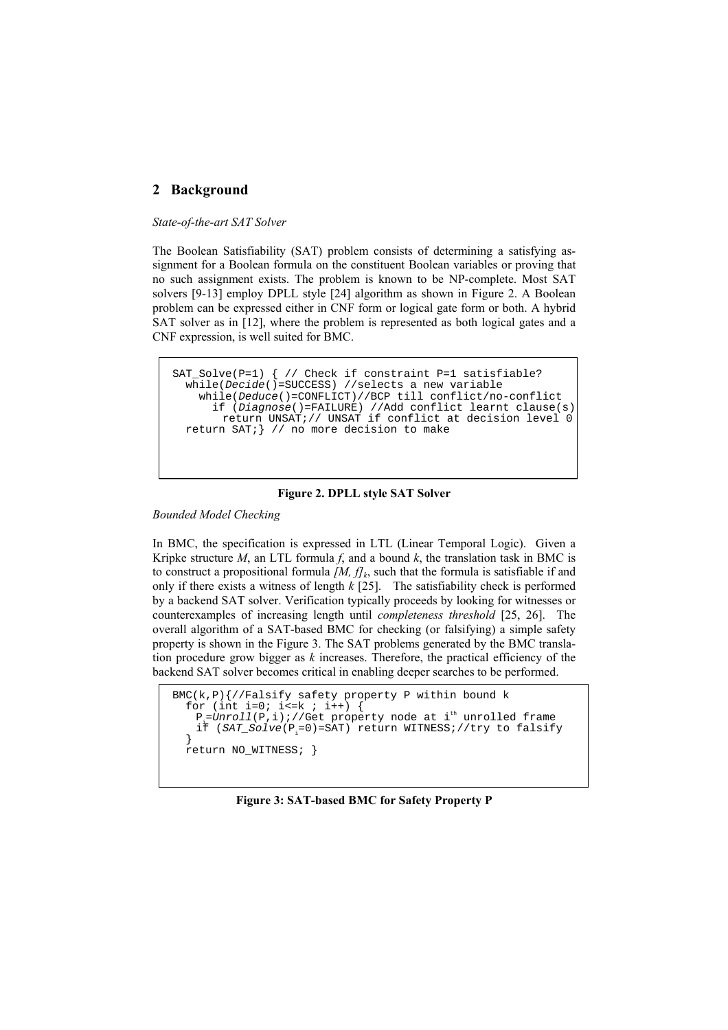## **2 Background**

 $\overline{\phantom{a}}$ 

 $\overline{\phantom{a}}$ 

#### *State-of-the-art SAT Solver*

The Boolean Satisfiability (SAT) problem consists of determining a satisfying assignment for a Boolean formula on the constituent Boolean variables or proving that no such assignment exists. The problem is known to be NP-complete. Most SAT solvers [9-13] employ DPLL style [24] algorithm as shown in Figure 2. A Boolean problem can be expressed either in CNF form or logical gate form or both. A hybrid SAT solver as in [12], where the problem is represented as both logical gates and a CNF expression, is well suited for BMC.

 SAT\_Solve(P=1) { // Check if constraint P=1 satisfiable? while(Decide()=SUCCESS) //selects a new variable while(Deduce()=CONFLICT)//BCP till conflict/no-conflict | if (Diagnose()=FAILURE) //Add conflict learnt clause(s)| return UNSAT;// UNSAT if conflict at decision level 0 return SAT;} // no more decision to make

**Figure 2. DPLL style SAT Solver** 

*Bounded Model Checking* 

In BMC, the specification is expressed in LTL (Linear Temporal Logic). Given a Kripke structure  $M$ , an LTL formula  $f$ , and a bound  $k$ , the translation task in BMC is to construct a propositional formula  $/M$ ,  $f\mathcal{L}_k$ , such that the formula is satisfiable if and only if there exists a witness of length *k* [25]. The satisfiability check is performed by a backend SAT solver. Verification typically proceeds by looking for witnesses or counterexamples of increasing length until *completeness threshold* [25, 26]. The overall algorithm of a SAT-based BMC for checking (or falsifying) a simple safety property is shown in the Figure 3. The SAT problems generated by the BMC translation procedure grow bigger as *k* increases. Therefore, the practical efficiency of the backend SAT solver becomes critical in enabling deeper searches to be performed.

```
 BMC(k,P){//Falsify safety property P within bound k 
     for (int i=0; i<=k; i++) {
      P_i=Unroll(P,i);//Get property node at i<sup>th</sup> unrolled frame
       if (SAT\_Solve(P_i=0)=SAT) return WITNESS;//try to falsify
\vert \vert return NO_WITNESS; }
```
**Figure 3: SAT-based BMC for Safety Property P**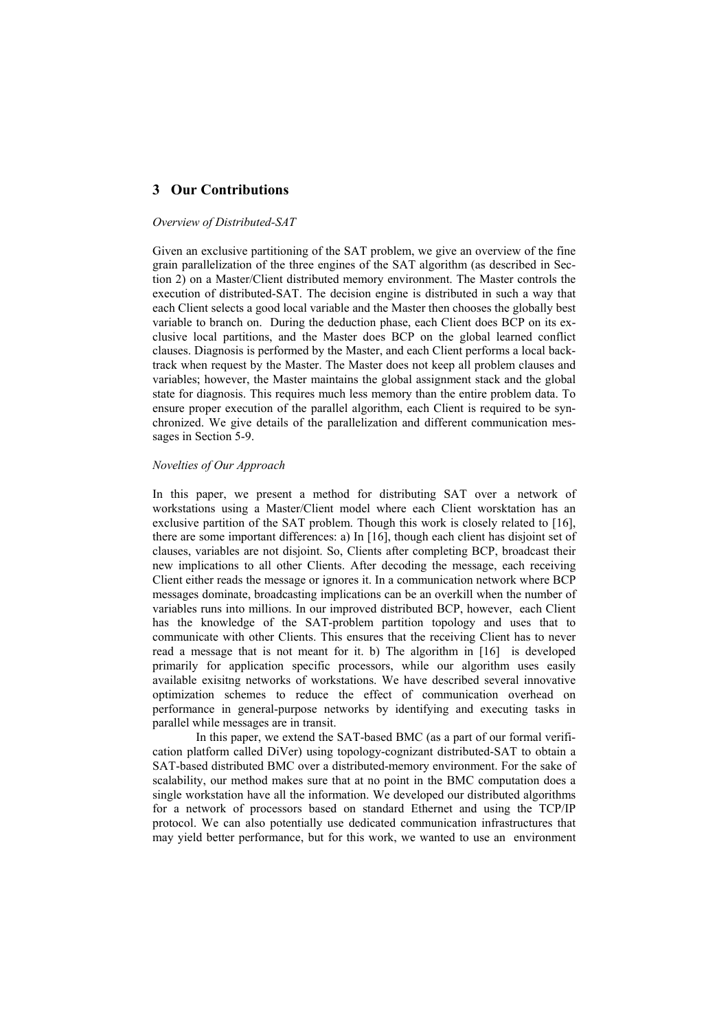## **3 Our Contributions**

#### *Overview of Distributed-SAT*

Given an exclusive partitioning of the SAT problem, we give an overview of the fine grain parallelization of the three engines of the SAT algorithm (as described in Section 2) on a Master/Client distributed memory environment. The Master controls the execution of distributed-SAT. The decision engine is distributed in such a way that each Client selects a good local variable and the Master then chooses the globally best variable to branch on. During the deduction phase, each Client does BCP on its exclusive local partitions, and the Master does BCP on the global learned conflict clauses. Diagnosis is performed by the Master, and each Client performs a local backtrack when request by the Master. The Master does not keep all problem clauses and variables; however, the Master maintains the global assignment stack and the global state for diagnosis. This requires much less memory than the entire problem data. To ensure proper execution of the parallel algorithm, each Client is required to be synchronized. We give details of the parallelization and different communication messages in Section 5-9.

#### *Novelties of Our Approach*

In this paper, we present a method for distributing SAT over a network of workstations using a Master/Client model where each Client worsktation has an exclusive partition of the SAT problem. Though this work is closely related to [16], there are some important differences: a) In [16], though each client has disjoint set of clauses, variables are not disjoint. So, Clients after completing BCP, broadcast their new implications to all other Clients. After decoding the message, each receiving Client either reads the message or ignores it. In a communication network where BCP messages dominate, broadcasting implications can be an overkill when the number of variables runs into millions. In our improved distributed BCP, however, each Client has the knowledge of the SAT-problem partition topology and uses that to communicate with other Clients. This ensures that the receiving Client has to never read a message that is not meant for it. b) The algorithm in [16] is developed primarily for application specific processors, while our algorithm uses easily available exisitng networks of workstations. We have described several innovative optimization schemes to reduce the effect of communication overhead on performance in general-purpose networks by identifying and executing tasks in parallel while messages are in transit.

In this paper, we extend the SAT-based BMC (as a part of our formal verification platform called DiVer) using topology-cognizant distributed-SAT to obtain a SAT-based distributed BMC over a distributed-memory environment. For the sake of scalability, our method makes sure that at no point in the BMC computation does a single workstation have all the information. We developed our distributed algorithms for a network of processors based on standard Ethernet and using the TCP/IP protocol. We can also potentially use dedicated communication infrastructures that may yield better performance, but for this work, we wanted to use an environment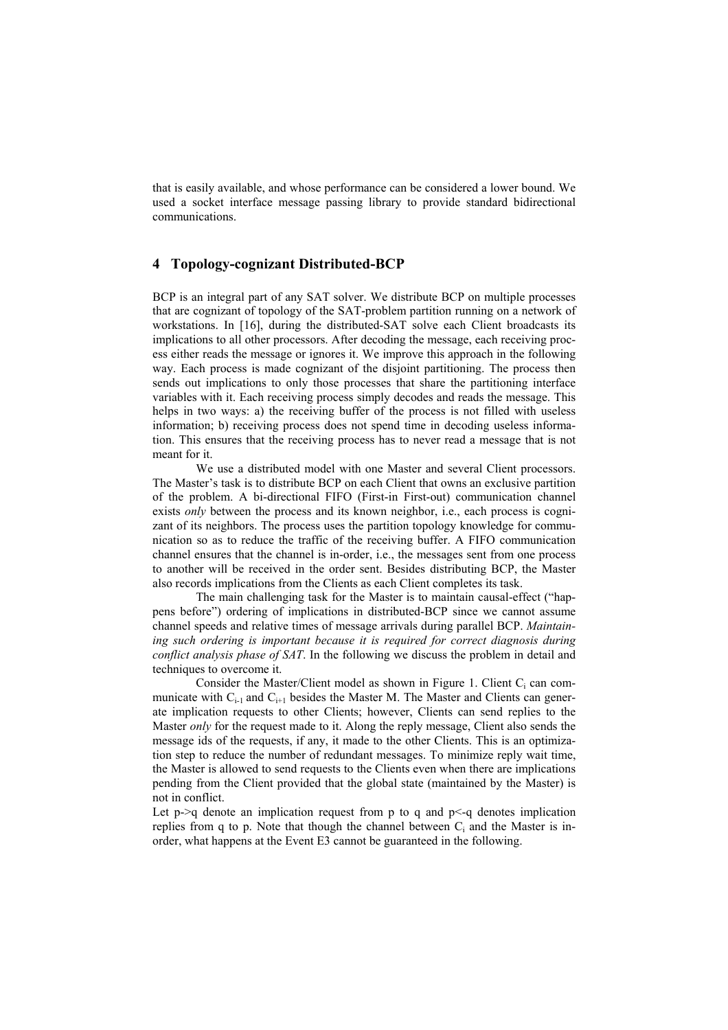that is easily available, and whose performance can be considered a lower bound. We used a socket interface message passing library to provide standard bidirectional communications.

## **4 Topology-cognizant Distributed-BCP**

BCP is an integral part of any SAT solver. We distribute BCP on multiple processes that are cognizant of topology of the SAT-problem partition running on a network of workstations. In [16], during the distributed-SAT solve each Client broadcasts its implications to all other processors. After decoding the message, each receiving process either reads the message or ignores it. We improve this approach in the following way. Each process is made cognizant of the disjoint partitioning. The process then sends out implications to only those processes that share the partitioning interface variables with it. Each receiving process simply decodes and reads the message. This helps in two ways: a) the receiving buffer of the process is not filled with useless information; b) receiving process does not spend time in decoding useless information. This ensures that the receiving process has to never read a message that is not meant for it.

We use a distributed model with one Master and several Client processors. The Master's task is to distribute BCP on each Client that owns an exclusive partition of the problem. A bi-directional FIFO (First-in First-out) communication channel exists *only* between the process and its known neighbor, i.e., each process is cognizant of its neighbors. The process uses the partition topology knowledge for communication so as to reduce the traffic of the receiving buffer. A FIFO communication channel ensures that the channel is in-order, i.e., the messages sent from one process to another will be received in the order sent. Besides distributing BCP, the Master also records implications from the Clients as each Client completes its task.

The main challenging task for the Master is to maintain causal-effect ("happens before") ordering of implications in distributed-BCP since we cannot assume channel speeds and relative times of message arrivals during parallel BCP. *Maintaining such ordering is important because it is required for correct diagnosis during conflict analysis phase of SAT*. In the following we discuss the problem in detail and techniques to overcome it.

Consider the Master/Client model as shown in Figure 1. Client  $C_i$  can communicate with  $C_{i-1}$  and  $C_{i+1}$  besides the Master M. The Master and Clients can generate implication requests to other Clients; however, Clients can send replies to the Master *only* for the request made to it. Along the reply message, Client also sends the message ids of the requests, if any, it made to the other Clients. This is an optimization step to reduce the number of redundant messages. To minimize reply wait time, the Master is allowed to send requests to the Clients even when there are implications pending from the Client provided that the global state (maintained by the Master) is not in conflict.

Let  $p > q$  denote an implication request from p to q and  $p < q$  denotes implication replies from q to p. Note that though the channel between  $C_i$  and the Master is inorder, what happens at the Event E3 cannot be guaranteed in the following.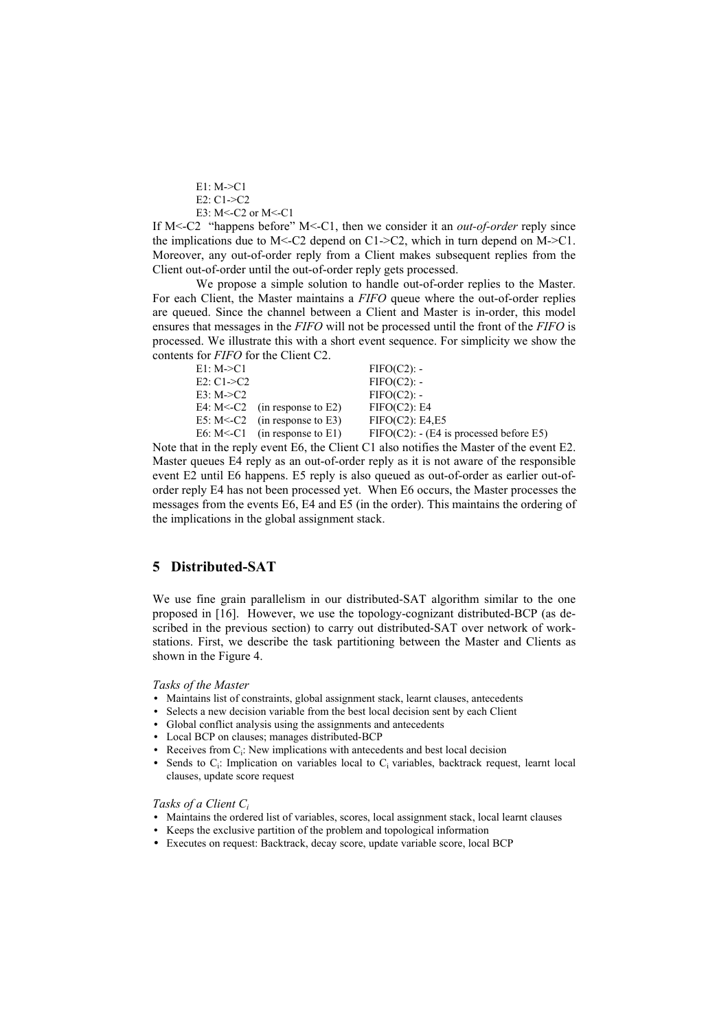$E1 \cdot M \rightarrow C1$ E2: C1->C2 E3: M<-C2 or M<-C1

If M<-C2 "happens before" M<-C1, then we consider it an *out-of-order* reply since the implications due to M<-C2 depend on C1->C2, which in turn depend on M->C1. Moreover, any out-of-order reply from a Client makes subsequent replies from the Client out-of-order until the out-of-order reply gets processed.

We propose a simple solution to handle out-of-order replies to the Master. For each Client, the Master maintains a *FIFO* queue where the out-of-order replies are queued. Since the channel between a Client and Master is in-order, this model ensures that messages in the *FIFO* will not be processed until the front of the *FIFO* is processed. We illustrate this with a short event sequence. For simplicity we show the contents for *FIFO* for the Client C2.

| E1: M > C1    |                                  | $FIFO(C2)$ : -                             |
|---------------|----------------------------------|--------------------------------------------|
| E2: $C1 > C2$ |                                  | $FIFO(C2)$ : -                             |
| E3: M > C2    |                                  | $FIFO(C2)$ : -                             |
|               | E4: $M < C2$ (in response to E2) | FIFO(C2): E4                               |
|               | E5: $M < C2$ (in response to E3) | FIFO(C2): E4.E5                            |
|               | E6: $M < C1$ (in response to E1) | $FIFO(C2)$ : - (E4 is processed before E5) |

Note that in the reply event E6, the Client C1 also notifies the Master of the event E2. Master queues E4 reply as an out-of-order reply as it is not aware of the responsible event E2 until E6 happens. E5 reply is also queued as out-of-order as earlier out-oforder reply E4 has not been processed yet. When E6 occurs, the Master processes the messages from the events E6, E4 and E5 (in the order). This maintains the ordering of the implications in the global assignment stack.

## **5 Distributed-SAT**

We use fine grain parallelism in our distributed-SAT algorithm similar to the one proposed in [16]. However, we use the topology-cognizant distributed-BCP (as described in the previous section) to carry out distributed-SAT over network of workstations. First, we describe the task partitioning between the Master and Clients as shown in the Figure 4.

### *Tasks of the Master*

- Maintains list of constraints, global assignment stack, learnt clauses, antecedents
- Selects a new decision variable from the best local decision sent by each Client
- Global conflict analysis using the assignments and antecedents
- Local BCP on clauses; manages distributed-BCP
- Receives from  $C_i$ : New implications with antecedents and best local decision
- Sends to C<sub>i</sub>: Implication on variables local to C<sub>i</sub> variables, backtrack request, learnt local clauses, update score request

### *Tasks of a Client Ci*

- Maintains the ordered list of variables, scores, local assignment stack, local learnt clauses
- Keeps the exclusive partition of the problem and topological information
- Executes on request: Backtrack, decay score, update variable score, local BCP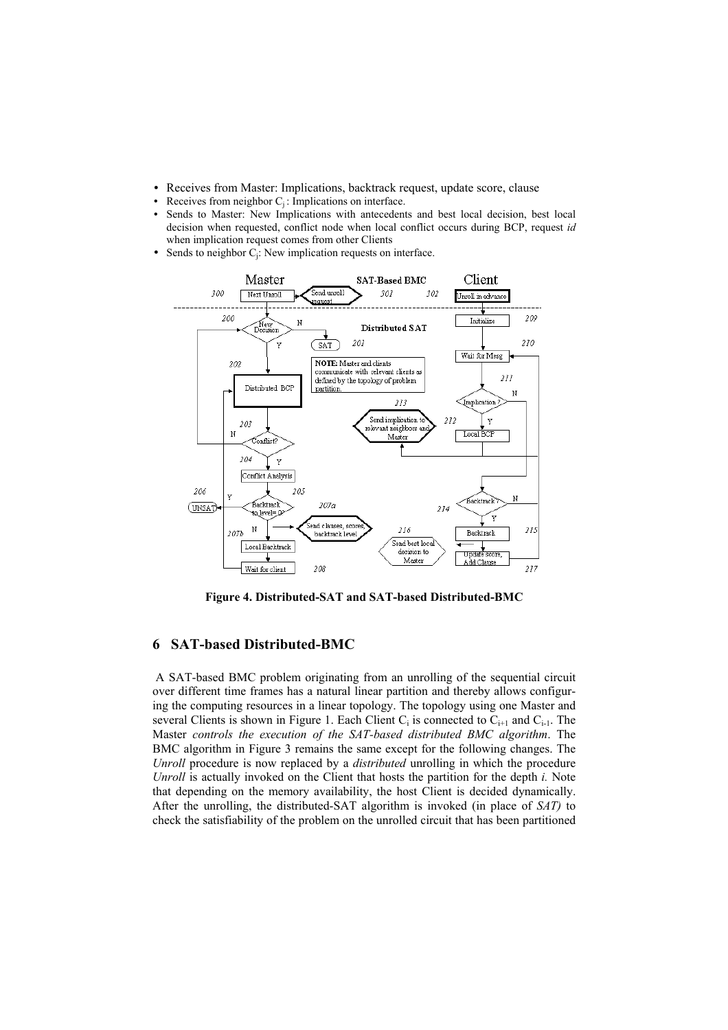- Receives from Master: Implications, backtrack request, update score, clause
- Receives from neighbor  $C_i$ : Implications on interface.
- Sends to Master: New Implications with antecedents and best local decision, best local decision when requested, conflict node when local conflict occurs during BCP, request *id* when implication request comes from other Clients
- Sends to neighbor  $C_i$ : New implication requests on interface.



**Figure 4. Distributed-SAT and SAT-based Distributed-BMC** 

## **6 SAT-based Distributed-BMC**

A SAT-based BMC problem originating from an unrolling of the sequential circuit over different time frames has a natural linear partition and thereby allows configuring the computing resources in a linear topology. The topology using one Master and several Clients is shown in Figure 1. Each Client  $C_i$  is connected to  $C_{i+1}$  and  $C_{i-1}$ . The Master *controls the execution of the SAT-based distributed BMC algorithm*. The BMC algorithm in Figure 3 remains the same except for the following changes. The *Unroll* procedure is now replaced by a *distributed* unrolling in which the procedure *Unroll* is actually invoked on the Client that hosts the partition for the depth *i.* Note that depending on the memory availability, the host Client is decided dynamically. After the unrolling, the distributed-SAT algorithm is invoked (in place of *SAT)* to check the satisfiability of the problem on the unrolled circuit that has been partitioned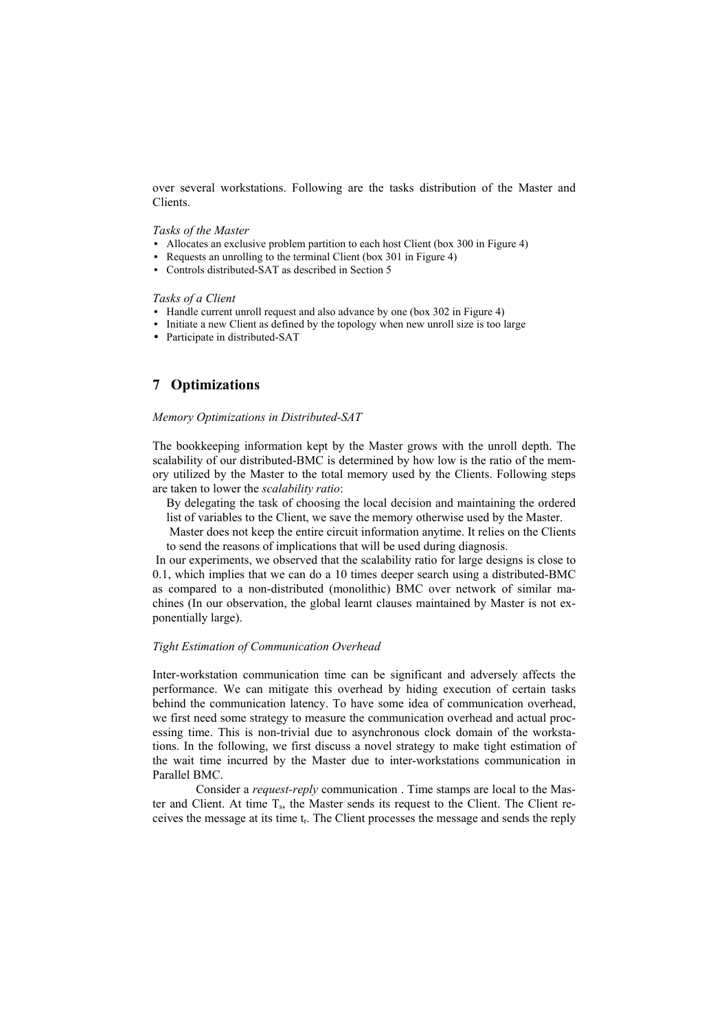over several workstations. Following are the tasks distribution of the Master and Clients.

#### *Tasks of the Master*

- Allocates an exclusive problem partition to each host Client (box 300 in Figure 4)
- Requests an unrolling to the terminal Client (box 301 in Figure 4)
- Controls distributed-SAT as described in Section 5

#### *Tasks of a Client*

- Handle current unroll request and also advance by one (box 302 in Figure 4)
- Initiate a new Client as defined by the topology when new unroll size is too large
- Participate in distributed-SAT

## **7 Optimizations**

#### *Memory Optimizations in Distributed-SAT*

The bookkeeping information kept by the Master grows with the unroll depth. The scalability of our distributed-BMC is determined by how low is the ratio of the memory utilized by the Master to the total memory used by the Clients. Following steps are taken to lower the *scalability ratio*:

 By delegating the task of choosing the local decision and maintaining the ordered list of variables to the Client, we save the memory otherwise used by the Master.

 Master does not keep the entire circuit information anytime. It relies on the Clients to send the reasons of implications that will be used during diagnosis.

 In our experiments, we observed that the scalability ratio for large designs is close to 0.1, which implies that we can do a 10 times deeper search using a distributed-BMC as compared to a non-distributed (monolithic) BMC over network of similar machines (In our observation, the global learnt clauses maintained by Master is not exponentially large).

#### *Tight Estimation of Communication Overhead*

Inter-workstation communication time can be significant and adversely affects the performance. We can mitigate this overhead by hiding execution of certain tasks behind the communication latency. To have some idea of communication overhead, we first need some strategy to measure the communication overhead and actual processing time. This is non-trivial due to asynchronous clock domain of the workstations. In the following, we first discuss a novel strategy to make tight estimation of the wait time incurred by the Master due to inter-workstations communication in Parallel BMC.

Consider a *request-reply* communication . Time stamps are local to the Master and Client. At time  $T_s$ , the Master sends its request to the Client. The Client receives the message at its time  $t_r$ . The Client processes the message and sends the reply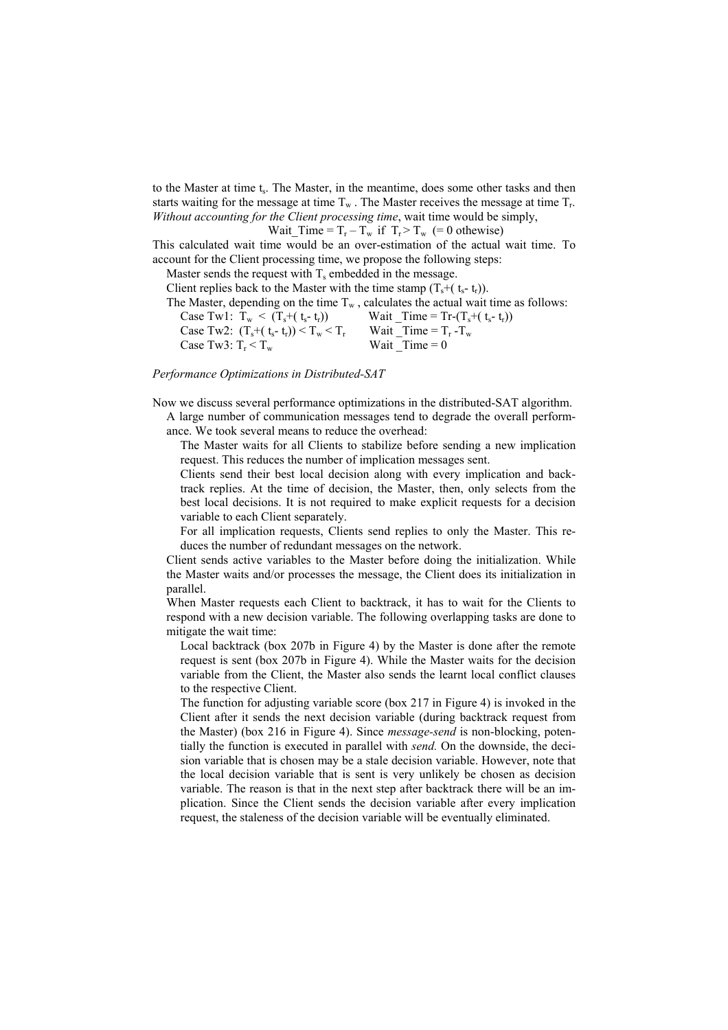to the Master at time  $t_s$ . The Master, in the meantime, does some other tasks and then starts waiting for the message at time  $T_w$ . The Master receives the message at time  $T_r$ . *Without accounting for the Client processing time*, wait time would be simply,

## Wait\_Time =  $T_r - T_w$  if  $T_r > T_w$  (= 0 othewise)

This calculated wait time would be an over-estimation of the actual wait time. To account for the Client processing time, we propose the following steps:

Master sends the request with  $T_s$  embedded in the message.

Client replies back to the Master with the time stamp  $(T<sub>s</sub>+t<sub>t</sub>-t<sub>r</sub>)$ .

The Master, depending on the time  $T_w$ , calculates the actual wait time as follows:

Case Tw1:  $T_w < (T_s + (t_s - t_r))$ <br>
Case Tw2:  $(T_s + (t_s - t_r)) < T_w < T_r$ <br>
Wait Time =  $T_r - T_w$ Case Tw2:  $(T_s+(t_s-t_r)) \leq T_w \leq T_r$ Case Tw3:  $T_r < T_w$  Wait Time = 0

#### *Performance Optimizations in Distributed-SAT*

Now we discuss several performance optimizations in the distributed-SAT algorithm.

 A large number of communication messages tend to degrade the overall performance. We took several means to reduce the overhead:

- The Master waits for all Clients to stabilize before sending a new implication request. This reduces the number of implication messages sent.
- Clients send their best local decision along with every implication and backtrack replies. At the time of decision, the Master, then, only selects from the best local decisions. It is not required to make explicit requests for a decision variable to each Client separately.
- For all implication requests, Clients send replies to only the Master. This reduces the number of redundant messages on the network.

 Client sends active variables to the Master before doing the initialization. While the Master waits and/or processes the message, the Client does its initialization in parallel.

 When Master requests each Client to backtrack, it has to wait for the Clients to respond with a new decision variable. The following overlapping tasks are done to mitigate the wait time:

 Local backtrack (box 207b in Figure 4) by the Master is done after the remote request is sent (box 207b in Figure 4). While the Master waits for the decision variable from the Client, the Master also sends the learnt local conflict clauses to the respective Client.

 The function for adjusting variable score (box 217 in Figure 4) is invoked in the Client after it sends the next decision variable (during backtrack request from the Master) (box 216 in Figure 4). Since *message-send* is non-blocking, potentially the function is executed in parallel with *send.* On the downside, the decision variable that is chosen may be a stale decision variable. However, note that the local decision variable that is sent is very unlikely be chosen as decision variable. The reason is that in the next step after backtrack there will be an implication. Since the Client sends the decision variable after every implication request, the staleness of the decision variable will be eventually eliminated.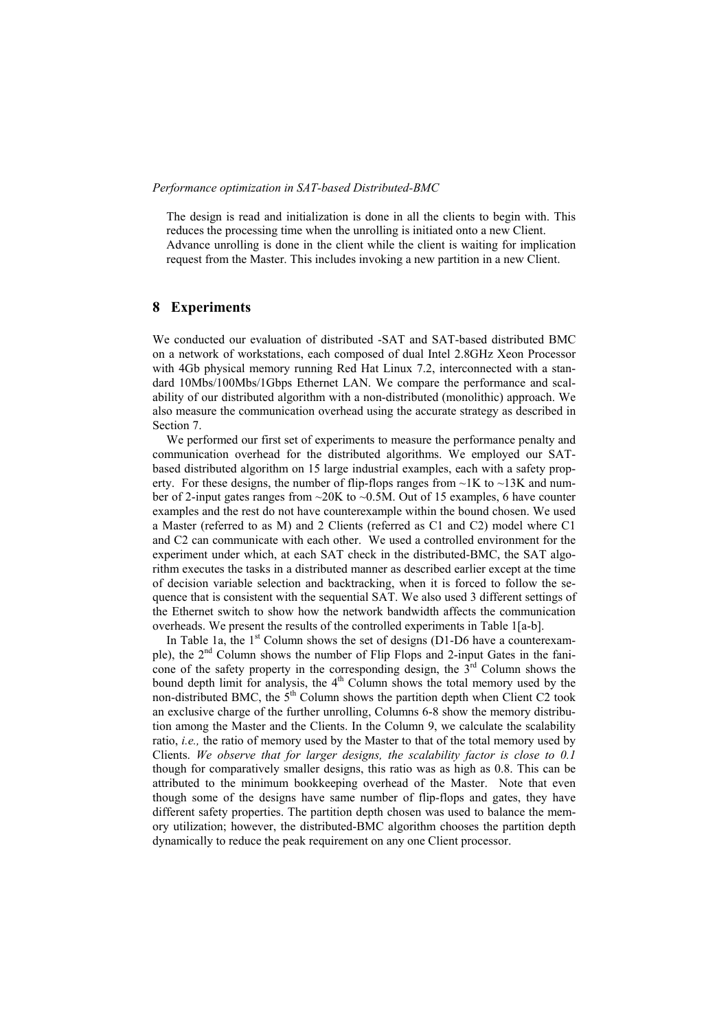#### *Performance optimization in SAT-based Distributed-BMC*

 The design is read and initialization is done in all the clients to begin with. This reduces the processing time when the unrolling is initiated onto a new Client. Advance unrolling is done in the client while the client is waiting for implication request from the Master. This includes invoking a new partition in a new Client.

## **8 Experiments**

We conducted our evaluation of distributed -SAT and SAT-based distributed BMC on a network of workstations, each composed of dual Intel 2.8GHz Xeon Processor with 4Gb physical memory running Red Hat Linux 7.2, interconnected with a standard 10Mbs/100Mbs/1Gbps Ethernet LAN. We compare the performance and scalability of our distributed algorithm with a non-distributed (monolithic) approach. We also measure the communication overhead using the accurate strategy as described in Section 7.

We performed our first set of experiments to measure the performance penalty and communication overhead for the distributed algorithms. We employed our SATbased distributed algorithm on 15 large industrial examples, each with a safety property. For these designs, the number of flip-flops ranges from  $\sim$ 1K to  $\sim$ 13K and number of 2-input gates ranges from  $\sim$  20K to  $\sim$  0.5M. Out of 15 examples, 6 have counter examples and the rest do not have counterexample within the bound chosen. We used a Master (referred to as M) and 2 Clients (referred as C1 and C2) model where C1 and C2 can communicate with each other. We used a controlled environment for the experiment under which, at each SAT check in the distributed-BMC, the SAT algorithm executes the tasks in a distributed manner as described earlier except at the time of decision variable selection and backtracking, when it is forced to follow the sequence that is consistent with the sequential SAT. We also used 3 different settings of the Ethernet switch to show how the network bandwidth affects the communication overheads. We present the results of the controlled experiments in Table 1[a-b].

In Table 1a, the  $1<sup>st</sup>$  Column shows the set of designs (D1-D6 have a counterexample), the 2<sup>nd</sup> Column shows the number of Flip Flops and 2-input Gates in the fanicone of the safety property in the corresponding design, the  $3<sup>rd</sup>$  Column shows the bound depth limit for analysis, the  $4<sup>th</sup>$  Column shows the total memory used by the non-distributed BMC, the  $5<sup>th</sup>$  Column shows the partition depth when Client C2 took an exclusive charge of the further unrolling, Columns 6-8 show the memory distribution among the Master and the Clients. In the Column 9, we calculate the scalability ratio, *i.e.,* the ratio of memory used by the Master to that of the total memory used by Clients. *We observe that for larger designs, the scalability factor is close to 0.1* though for comparatively smaller designs, this ratio was as high as 0.8. This can be attributed to the minimum bookkeeping overhead of the Master. Note that even though some of the designs have same number of flip-flops and gates, they have different safety properties. The partition depth chosen was used to balance the memory utilization; however, the distributed-BMC algorithm chooses the partition depth dynamically to reduce the peak requirement on any one Client processor.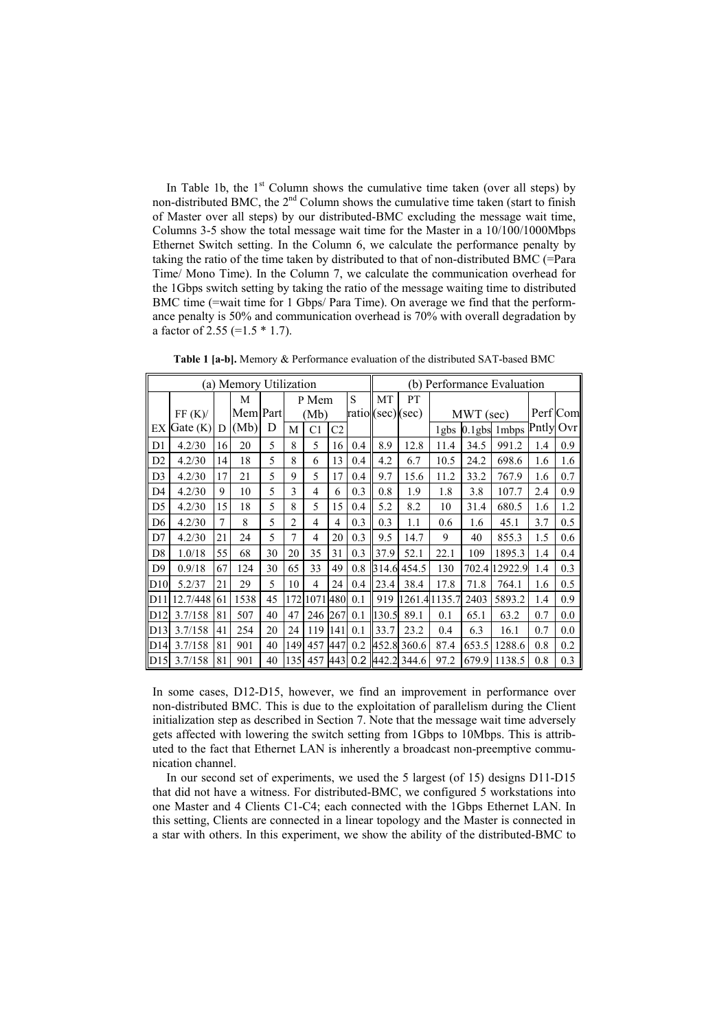In Table 1b, the  $1<sup>st</sup>$  Column shows the cumulative time taken (over all steps) by non-distributed BMC, the  $2<sup>nd</sup>$  Column shows the cumulative time taken (start to finish of Master over all steps) by our distributed-BMC excluding the message wait time, Columns 3-5 show the total message wait time for the Master in a 10/100/1000Mbps Ethernet Switch setting. In the Column 6, we calculate the performance penalty by taking the ratio of the time taken by distributed to that of non-distributed BMC (=Para Time/ Mono Time). In the Column 7, we calculate the communication overhead for the 1Gbps switch setting by taking the ratio of the message waiting time to distributed BMC time (=wait time for 1 Gbps/ Para Time). On average we find that the performance penalty is 50% and communication overhead is 70% with overall degradation by a factor of 2.55 (=1.5 \* 1.7).

| (a) Memory Utilization |            |    |          |    |                |                |                | (b) Performance Evaluation |       |             |              |       |                  |           |     |
|------------------------|------------|----|----------|----|----------------|----------------|----------------|----------------------------|-------|-------------|--------------|-------|------------------|-----------|-----|
|                        |            |    | М        |    | P Mem          |                | S              | MT                         | PT    |             |              |       |                  |           |     |
|                        | FF(K)/     |    | Mem Part |    | (Mb)           |                |                | ratio (sec)(sec)           |       |             | MWT (sec)    |       |                  | Perf Com  |     |
| EX                     | Gate $(K)$ | D  | (Mb)     | D  | М              | C <sub>1</sub> | C <sub>2</sub> |                            |       |             | $1$ gbs      |       | $0.1$ gbs 1 mbps | Pntly Ovr |     |
| D <sub>1</sub>         | 4.2/30     | 16 | 20       | 5  | 8              | 5              | 16             | 0.4                        | 8.9   | 12.8        | 11.4         | 34.5  | 991.2            | 1.4       | 0.9 |
| D2                     | 4.2/30     | 14 | 18       | 5  | 8              | 6              | 13             | 0.4                        | 4.2   | 6.7         | 10.5         | 24.2  | 698.6            | 1.6       | 1.6 |
| D <sub>3</sub>         | 4.2/30     | 17 | 21       | 5  | 9              | 5              | 17             | 0.4                        | 9.7   | 15.6        | 11.2         | 33.2  | 767.9            | 1.6       | 0.7 |
| D4                     | 4.2/30     | 9  | 10       | 5  | 3              | 4              | 6              | 0.3                        | 0.8   | 1.9         | 1.8          | 3.8   | 107.7            | 2.4       | 0.9 |
| D5                     | 4.2/30     | 15 | 18       | 5  | 8              | 5              | 15             | 0.4                        | 5.2   | 8.2         | 10           | 31.4  | 680.5            | 1.6       | 1.2 |
| D6                     | 4.2/30     | 7  | 8        | 5  | $\overline{c}$ | 4              | 4              | 0.3                        | 0.3   | 1.1         | 0.6          | 1.6   | 45.1             | 3.7       | 0.5 |
| D7                     | 4.2/30     | 21 | 24       | 5  | 7              | 4              | 20             | 0.3                        | 9.5   | 14.7        | 9            | 40    | 855.3            | 1.5       | 0.6 |
| D <sub>8</sub>         | 1.0/18     | 55 | 68       | 30 | 20             | 35             | 31             | 0.3                        | 37.9  | 52.1        | 22.1         | 109   | 1895.3           | 1.4       | 0.4 |
| D <sub>9</sub>         | 0.9/18     | 67 | 124      | 30 | 65             | 33             | 49             | 0.8                        | 314.6 | 454.5       | 130          | 702.4 | 12922.9          | 1.4       | 0.3 |
| D10                    | 5.2/37     | 21 | 29       | 5  | 10             | 4              | 24             | 0.4                        | 23.4  | 38.4        | 17.8         | 71.8  | 764.1            | 1.6       | 0.5 |
| D11                    | 12.7/448   | 61 | 1538     | 45 | 172            | 1071           | 480            | 0.1                        | 919   |             | 1261.41135.7 | 2403  | 5893.2           | 1.4       | 0.9 |
| D12                    | 3.7/158    | 81 | 507      | 40 | 47             | 246            | 267            | 0.1                        | 130.5 | 89.1        | 0.1          | 65.1  | 63.2             | 0.7       | 0.0 |
| D13                    | 3.7/158    | 41 | 254      | 20 | 24             | 119            | 141            | 0.1                        | 33.7  | 23.2        | 0.4          | 6.3   | 16.1             | 0.7       | 0.0 |
| D14                    | 3.7/158    | 81 | 901      | 40 | 149            | 457            | 447            | 0.2                        | 452.8 | 360.6       | 87.4         | 653.5 | 1288.6           | 0.8       | 0.2 |
| D15                    | 3.7/158    | 81 | 901      | 40 | 135            | 457            | 443            | 0.2                        |       | 442.2 344.6 | 97.2         | 679.9 | 1138.5           | 0.8       | 0.3 |

**Table 1 [a-b].** Memory & Performance evaluation of the distributed SAT-based BMC

In some cases, D12-D15, however, we find an improvement in performance over non-distributed BMC. This is due to the exploitation of parallelism during the Client initialization step as described in Section 7. Note that the message wait time adversely gets affected with lowering the switch setting from 1Gbps to 10Mbps. This is attributed to the fact that Ethernet LAN is inherently a broadcast non-preemptive communication channel.

In our second set of experiments, we used the 5 largest (of 15) designs D11-D15 that did not have a witness. For distributed-BMC, we configured 5 workstations into one Master and 4 Clients C1-C4; each connected with the 1Gbps Ethernet LAN. In this setting, Clients are connected in a linear topology and the Master is connected in a star with others. In this experiment, we show the ability of the distributed-BMC to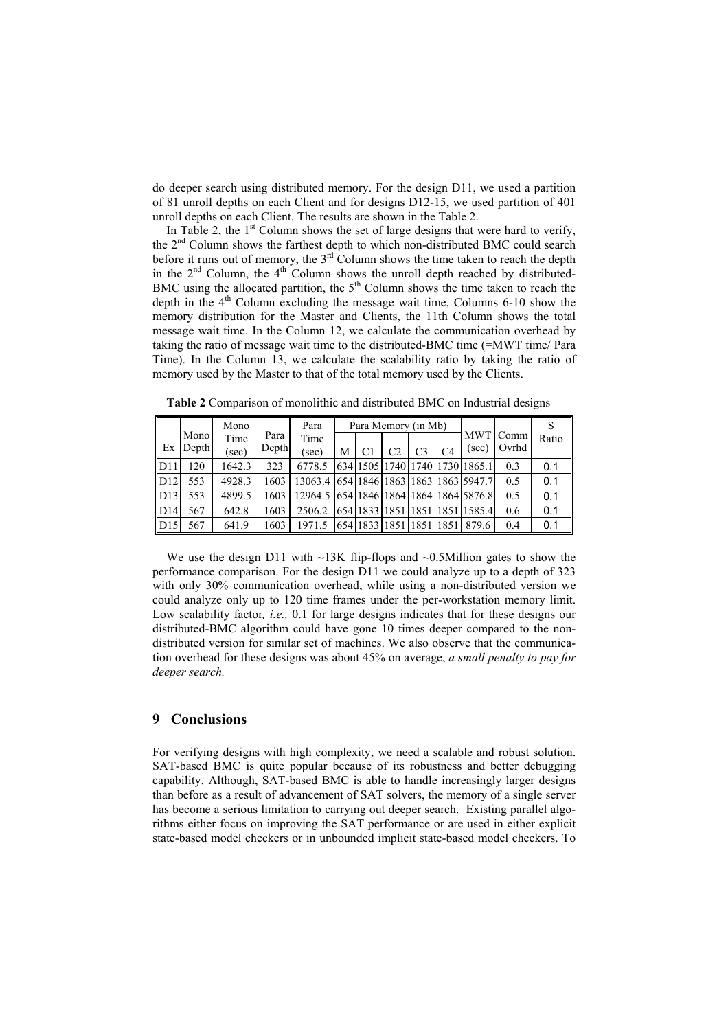do deeper search using distributed memory. For the design D11, we used a partition of 81 unroll depths on each Client and for designs D12-15, we used partition of 401 unroll depths on each Client. The results are shown in the Table 2.

In Table 2, the  $1<sup>st</sup>$  Column shows the set of large designs that were hard to verify, the  $2<sup>nd</sup>$  Column shows the farthest depth to which non-distributed BMC could search before it runs out of memory, the  $3<sup>rd</sup>$  Column shows the time taken to reach the depth in the  $2<sup>nd</sup>$  Column, the  $4<sup>th</sup>$  Column shows the unroll depth reached by distributed-BMC using the allocated partition, the  $5<sup>th</sup>$  Column shows the time taken to reach the depth in the 4<sup>th</sup> Column excluding the message wait time, Columns 6-10 show the memory distribution for the Master and Clients, the 11th Column shows the total message wait time. In the Column 12, we calculate the communication overhead by taking the ratio of message wait time to the distributed-BMC time (=MWT time/ Para Time). In the Column 13, we calculate the scalability ratio by taking the ratio of memory used by the Master to that of the total memory used by the Clients.

**Table 2** Comparison of monolithic and distributed BMC on Industrial designs

| Mono |               |               |               | Para                                    |   |    | Para Memory (in Mb) |                |                         |                                     | S             |       |
|------|---------------|---------------|---------------|-----------------------------------------|---|----|---------------------|----------------|-------------------------|-------------------------------------|---------------|-------|
| l Ex | Mono<br>Depth | Time<br>(sec) | Para<br>Depth | Time<br>(sec)                           | М | C1 | C <sub>2</sub>      | C <sub>3</sub> | C <sub>4</sub>          | <b>MWT</b><br>(sec)                 | Comm<br>Ovrhd | Ratio |
| ID11 | 120           | 1642.3        | 323           | 6778.5                                  |   |    |                     |                |                         | 634  1505  1740  1740  1730  1865.1 | 0.3           | 0.1   |
| D12  | 553           | 4928.3        | 1603          | 13063.4 654 1846 1863 1863 1863 5947.7  |   |    |                     |                |                         |                                     | 0.5           | 0.1   |
| D13  | 553           | 4899.5        | 603           | 12964.5  654 1846 1864 1864 1864 5876.8 |   |    |                     |                |                         |                                     | 0.5           | 0.1   |
| D14  | 567           | 642.8         | 1603          | 2506.2                                  |   |    |                     |                |                         | 654  1833  1851  1851  1851  1585.4 | 0.6           | 0.1   |
| D15  | 567           | 641.9         | 1603          | 1971.5                                  |   |    |                     |                | 654 1833 1851 1851 1851 | 879.6                               | 0.4           | 0.1   |

We use the design D11 with  $\sim$ 13K flip-flops and  $\sim$ 0.5Million gates to show the performance comparison. For the design D11 we could analyze up to a depth of 323 with only 30% communication overhead, while using a non-distributed version we could analyze only up to 120 time frames under the per-workstation memory limit. Low scalability factor, *i.e.*, 0.1 for large designs indicates that for these designs our distributed-BMC algorithm could have gone 10 times deeper compared to the nondistributed version for similar set of machines. We also observe that the communication overhead for these designs was about 45% on average, *a small penalty to pay for deeper search.*

## **9 Conclusions**

For verifying designs with high complexity, we need a scalable and robust solution. SAT-based BMC is quite popular because of its robustness and better debugging capability. Although, SAT-based BMC is able to handle increasingly larger designs than before as a result of advancement of SAT solvers, the memory of a single server has become a serious limitation to carrying out deeper search. Existing parallel algorithms either focus on improving the SAT performance or are used in either explicit state-based model checkers or in unbounded implicit state-based model checkers. To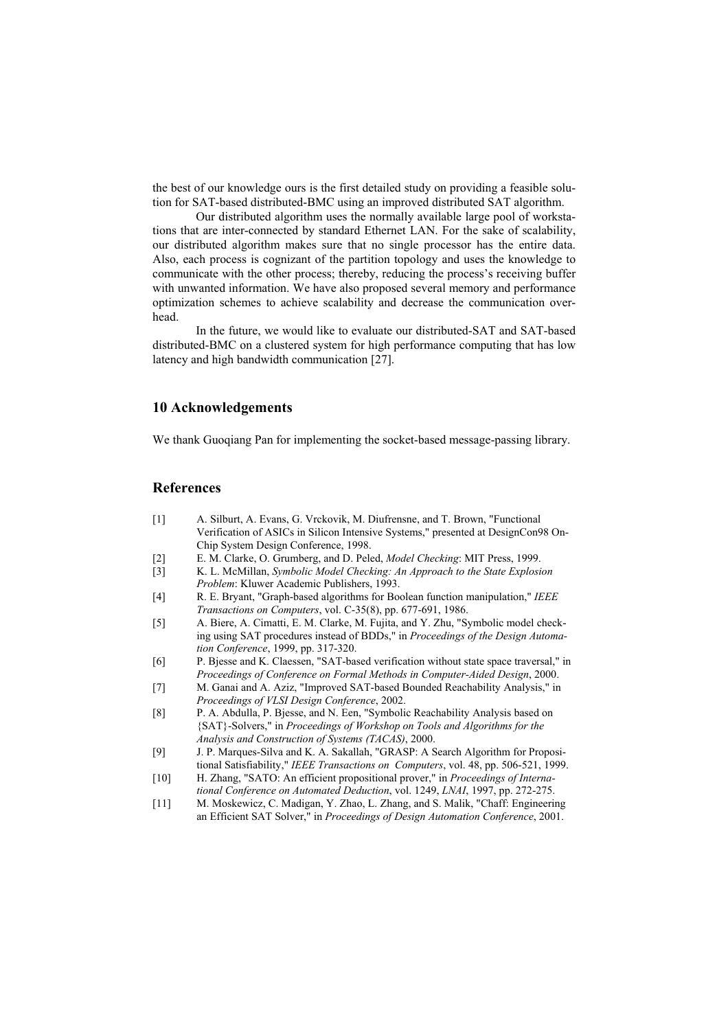the best of our knowledge ours is the first detailed study on providing a feasible solution for SAT-based distributed-BMC using an improved distributed SAT algorithm.

Our distributed algorithm uses the normally available large pool of workstations that are inter-connected by standard Ethernet LAN. For the sake of scalability, our distributed algorithm makes sure that no single processor has the entire data. Also, each process is cognizant of the partition topology and uses the knowledge to communicate with the other process; thereby, reducing the process's receiving buffer with unwanted information. We have also proposed several memory and performance optimization schemes to achieve scalability and decrease the communication overhead.

In the future, we would like to evaluate our distributed-SAT and SAT-based distributed-BMC on a clustered system for high performance computing that has low latency and high bandwidth communication [27].

## **10 Acknowledgements**

We thank Guoqiang Pan for implementing the socket-based message-passing library.

## **References**

- [1] A. Silburt, A. Evans, G. Vrckovik, M. Diufrensne, and T. Brown, "Functional Verification of ASICs in Silicon Intensive Systems," presented at DesignCon98 On-Chip System Design Conference, 1998.
- [2] E. M. Clarke, O. Grumberg, and D. Peled, *Model Checking*: MIT Press, 1999.
- [3] K. L. McMillan, *Symbolic Model Checking: An Approach to the State Explosion Problem*: Kluwer Academic Publishers, 1993.
- [4] R. E. Bryant, "Graph-based algorithms for Boolean function manipulation," *IEEE Transactions on Computers*, vol. C-35(8), pp. 677-691, 1986.
- [5] A. Biere, A. Cimatti, E. M. Clarke, M. Fujita, and Y. Zhu, "Symbolic model checking using SAT procedures instead of BDDs," in *Proceedings of the Design Automation Conference*, 1999, pp. 317-320.
- [6] P. Bjesse and K. Claessen, "SAT-based verification without state space traversal," in *Proceedings of Conference on Formal Methods in Computer-Aided Design*, 2000.
- [7] M. Ganai and A. Aziz, "Improved SAT-based Bounded Reachability Analysis," in *Proceedings of VLSI Design Conference*, 2002.
- [8] P. A. Abdulla, P. Bjesse, and N. Een, "Symbolic Reachability Analysis based on {SAT}-Solvers," in *Proceedings of Workshop on Tools and Algorithms for the Analysis and Construction of Systems (TACAS)*, 2000.
- [9] J. P. Marques-Silva and K. A. Sakallah, "GRASP: A Search Algorithm for Propositional Satisfiability," *IEEE Transactions on Computers*, vol. 48, pp. 506-521, 1999.
- [10] H. Zhang, "SATO: An efficient propositional prover," in *Proceedings of International Conference on Automated Deduction*, vol. 1249, *LNAI*, 1997, pp. 272-275.
- [11] M. Moskewicz, C. Madigan, Y. Zhao, L. Zhang, and S. Malik, "Chaff: Engineering an Efficient SAT Solver," in *Proceedings of Design Automation Conference*, 2001.